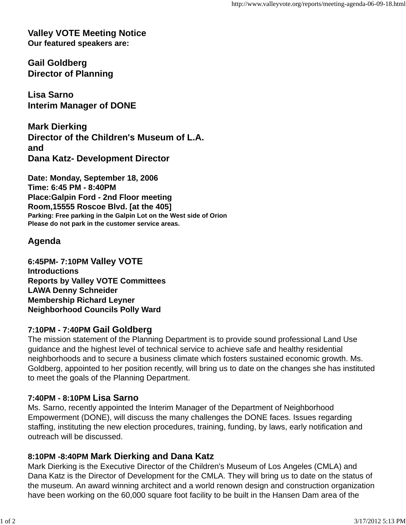**Valley VOTE Meeting Notice Our featured speakers are:**

**Gail Goldberg Director of Planning**

**Lisa Sarno Interim Manager of DONE**

**Mark Dierking Director of the Children's Museum of L.A. and Dana Katz- Development Director**

**Date: Monday, September 18, 2006 Time: 6:45 PM - 8:40PM Place:Galpin Ford - 2nd Floor meeting Room,15555 Roscoe Blvd. [at the 405] Parking: Free parking in the Galpin Lot on the West side of Orion Please do not park in the customer service areas.**

# **Agenda**

**6:45PM- 7:10PM Valley VOTE Introductions Reports by Valley VOTE Committees LAWA Denny Schneider Membership Richard Leyner Neighborhood Councils Polly Ward**

### **7:10PM - 7:40PM Gail Goldberg**

The mission statement of the Planning Department is to provide sound professional Land Use guidance and the highest level of technical service to achieve safe and healthy residential neighborhoods and to secure a business climate which fosters sustained economic growth. Ms. Goldberg, appointed to her position recently, will bring us to date on the changes she has instituted to meet the goals of the Planning Department.

# **7:40PM - 8:10PM Lisa Sarno**

Ms. Sarno, recently appointed the Interim Manager of the Department of Neighborhood Empowerment (DONE), will discuss the many challenges the DONE faces. Issues regarding staffing, instituting the new election procedures, training, funding, by laws, early notification and outreach will be discussed.

# **8:10PM -8:40PM Mark Dierking and Dana Katz**

Mark Dierking is the Executive Director of the Children's Museum of Los Angeles (CMLA) and Dana Katz is the Director of Development for the CMLA. They will bring us to date on the status of the museum. An award winning architect and a world renown design and construction organization have been working on the 60,000 square foot facility to be built in the Hansen Dam area of the